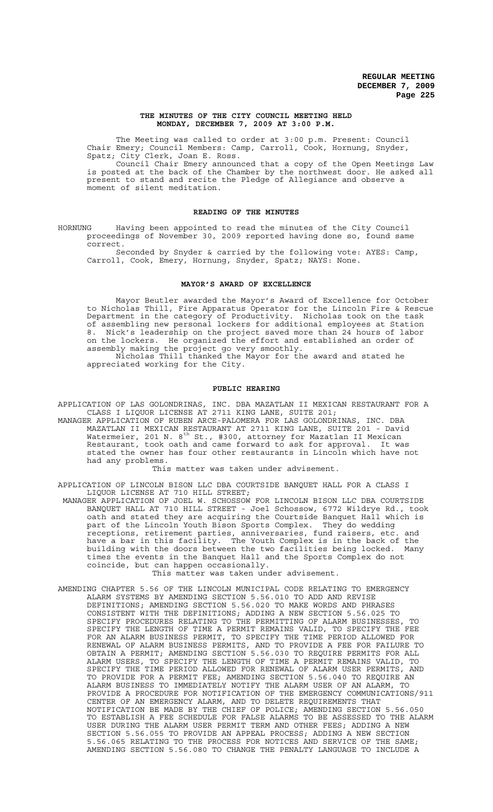#### **THE MINUTES OF THE CITY COUNCIL MEETING HELD MONDAY, DECEMBER 7, 2009 AT 3:00 P.M.**

The Meeting was called to order at 3:00 p.m. Present: Council Chair Emery; Council Members: Camp, Carroll, Cook, Hornung, Snyder, Spatz; City Clerk, Joan E. Ross.

Council Chair Emery announced that a copy of the Open Meetings Law is posted at the back of the Chamber by the northwest door. He asked all present to stand and recite the Pledge of Allegiance and observe a moment of silent meditation.

## **READING OF THE MINUTES**

HORNUNG Having been appointed to read the minutes of the City Council proceedings of November 30, 2009 reported having done so, found same correct.

Seconded by Snyder & carried by the following vote: AYES: Camp, Carroll, Cook, Emery, Hornung, Snyder, Spatz; NAYS: None.

### **MAYOR'S AWARD OF EXCELLENCE**

Mayor Beutler awarded the Mayor's Award of Excellence for October to Nicholas Thill, Fire Apparatus Operator for the Lincoln Fire & Rescue Department in the category of Productivity. Nicholas took on the task of assembling new personal lockers for additional employees at Station 8. Nick's leadership on the project saved more than 24 hours of labor on the lockers. He organized the effort and established an order of assembly making the project go very smoothly. Nicholas Thill thanked the Mayor for the award and stated he appreciated working for the City.

### **PUBLIC HEARING**

APPLICATION OF LAS GOLONDRINAS, INC. DBA MAZATLAN II MEXICAN RESTAURANT FOR A CLASS I LIQUOR LICENSE AT 2711 KING LANE, SUITE 201;

MANAGER APPLICATION OF RUBEN ARCE-PALOMERA FOR LAS GOLONDRINAS, INC. DBA MAZATLAN II MEXICAN RESTAURANT AT 2711 KING LANE, SUITE 201 - David Watermeier, 201 N.  $8^{\text{th}}$  St., #300, attorney for Mazatlan II Mexican Restaurant, took oath and came forward to ask for approval. It was stated the owner has four other restaurants in Lincoln which have not had any problems.

This matter was taken under advisement.

APPLICATION OF LINCOLN BISON LLC DBA COURTSIDE BANQUET HALL FOR A CLASS I LIQUOR LICENSE AT 710 HILL STREET;

 MANAGER APPLICATION OF JOEL W. SCHOSSOW FOR LINCOLN BISON LLC DBA COURTSIDE BANQUET HALL AT 710 HILL STREET - Joel Schossow, 6772 Wildrye Rd., took oath and stated they are acquiring the Courtside Banquet Hall which is part of the Lincoln Youth Bison Sports Complex. They do wedding receptions, retirement parties, anniversaries, fund raisers, etc. and have a bar in this facility. The Youth Complex is in the back of the building with the doors between the two facilities being locked. Many times the events in the Banquet Hall and the Sports Complex do not coincide, but can happen occasionally.

This matter was taken under advisement.

AMENDING CHAPTER 5.56 OF THE LINCOLN MUNICIPAL CODE RELATING TO EMERGENCY ALARM SYSTEMS BY AMENDING SECTION 5.56.010 TO ADD AND REVISE DEFINITIONS; AMENDING SECTION 5.56.020 TO MAKE WORDS AND PHRASES CONSISTENT WITH THE DEFINITIONS; ADDING A NEW SECTION 5.56.025 TO SPECIFY PROCEDURES RELATING TO THE PERMITTING OF ALARM BUSINESSES, TO SPECIFY THE LENGTH OF TIME A PERMIT REMAINS VALID, TO SPECIFY THE FEE FOR AN ALARM BUSINESS PERMIT, TO SPECIFY THE TIME PERIOD ALLOWED FOR RENEWAL OF ALARM BUSINESS PERMITS, AND TO PROVIDE A FEE FOR FAILURE TO OBTAIN A PERMIT; AMENDING SECTION 5.56.030 TO REQUIRE PERMITS FOR ALL ALARM USERS, TO SPECIFY THE LENGTH OF TIME A PERMIT REMAINS VALID, TO SPECIFY THE TIME PERIOD ALLOWED FOR RENEWAL OF ALARM USER PERMITS, AND TO PROVIDE FOR A PERMIT FEE; AMENDING SECTION 5.56.040 TO REQUIRE AN ALARM BUSINESS TO IMMEDIATELY NOTIFY THE ALARM USER OF AN ALARM, TO PROVIDE A PROCEDURE FOR NOTIFICATION OF THE EMERGENCY COMMUNICATIONS/911 CENTER OF AN EMERGENCY ALARM, AND TO DELETE REQUIREMENTS THAT NOTIFICATION BE MADE BY THE CHIEF OF POLICE; AMENDING SECTION 5.56.050 TO ESTABLISH A FEE SCHEDULE FOR FALSE ALARMS TO BE ASSESSED TO THE ALARM USER DURING THE ALARM USER PERMIT TERM AND OTHER FEES; ADDING A NEW SECTION 5.56.055 TO PROVIDE AN APPEAL PROCESS; ADDING A NEW SECTION 5.56.065 RELATING TO THE PROCESS FOR NOTICES AND SERVICE OF THE SAME; AMENDING SECTION 5.56.080 TO CHANGE THE PENALTY LANGUAGE TO INCLUDE A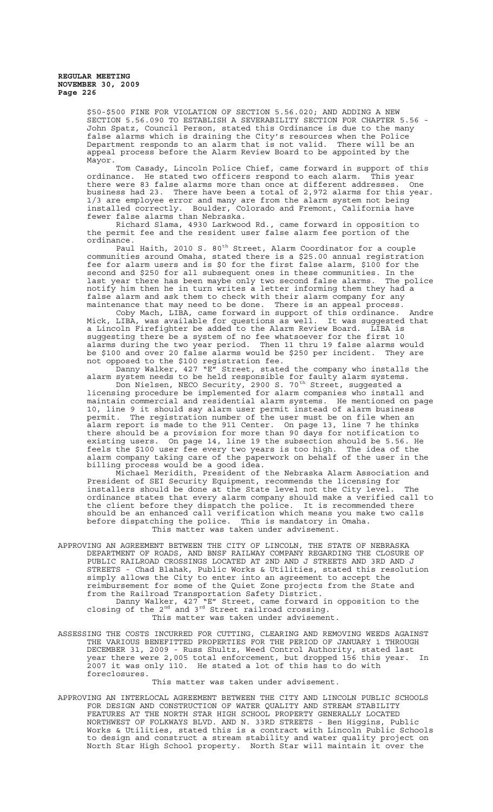\$50-\$500 FINE FOR VIOLATION OF SECTION 5.56.020; AND ADDING A NEW SECTION 5.56.090 TO ESTABLISH A SEVERABILITY SECTION FOR CHAPTER 5.56 - John Spatz, Council Person, stated this Ordinance is due to the many false alarms which is draining the City's resources when the Police Department responds to an alarm that is not valid. There will be an appeal process before the Alarm Review Board to be appointed by the Mayor.

Tom Casady, Lincoln Police Chief, came forward in support of this ordinance. He stated two officers respond to each alarm. This year there were 83 false alarms more than once at different addresses. One business had 23. There have been a total of 2,972 alarms for this year. 1/3 are employee error and many are from the alarm system not being installed correctly. Boulder, Colorado and Fremont, California have fewer false alarms than Nebraska.

Richard Slama, 4930 Larkwood Rd., came forward in opposition to the permit fee and the resident user false alarm fee portion of the ordinance.

Paul Haith, 2010 S. 80<sup>th</sup> Street, Alarm Coordinator for a couple communities around Omaha, stated there is a \$25.00 annual registration fee for alarm users and is \$0 for the first false alarm, \$100 for the second and \$250 for all subsequent ones in these communities. In the last year there has been maybe only two second false alarms. The police notify him then he in turn writes a letter informing them they had a false alarm and ask them to check with their alarm company for any maintenance that may need to be done. There is an appeal process.

Coby Mach, LIBA, came forward in support of this ordinance. Andre Mick, LIBA, was available for questions as well. It was suggested that a Lincoln Firefighter be added to the Alarm Review Board. LIBA is suggesting there be a system of no fee whatsoever for the first 10 alarms during the two year period. Then 11 thru 19 false alarms would be \$100 and over 20 false alarms would be \$250 per incident. They are not opposed to the \$100 registration fee.

Danny Walker, 427 "E" Street, stated the company who installs the alarm system needs to be held responsible for faulty alarm systems.

Don Nielsen, NECO Security, 2900 S. 70<sup>th</sup> Street, suggested a licensing procedure be implemented for alarm companies who install and maintain commercial and residential alarm systems. He mentioned on page 10, line 9 it should say alarm user permit instead of alarm business permit. The registration number of the user must be on file when an alarm report is made to the 911 Center. On page 13, line 7 he thinks there should be a provision for more than 90 days for notification to existing users. On page 14, line 19 the subsection should be 5.56. He feels the \$100 user fee every two years is too high. The idea of the alarm company taking care of the paperwork on behalf of the user in the billing process would be a good idea.

Michael Meridith, President of the Nebraska Alarm Association and President of SEI Security Equipment, recommends the licensing for installers should be done at the State level not the City level. The ordinance states that every alarm company should make a verified call to the client before they dispatch the police. It is recommended there should be an enhanced call verification which means you make two calls before dispatching the police. This is mandatory in Omaha. This matter was taken under advisement.

APPROVING AN AGREEMENT BETWEEN THE CITY OF LINCOLN, THE STATE OF NEBRASKA DEPARTMENT OF ROADS, AND BNSF RAILWAY COMPANY REGARDING THE CLOSURE OF PUBLIC RAILROAD CROSSINGS LOCATED AT 2ND AND J STREETS AND 3RD AND J STREETS - Chad Blahak, Public Works & Utilities, stated this resolution simply allows the City to enter into an agreement to accept the reimbursement for some of the Quiet Zone projects from the State and from the Railroad Transportation Safety District. Danny Walker, 427 "E" Street, came forward in opposition to the

closing of the  $2^{nd}$  and  $3^{rd}$  Street railroad crossing. This matter was taken under advisement.

ASSESSING THE COSTS INCURRED FOR CUTTING, CLEARING AND REMOVING WEEDS AGAINST THE VARIOUS BENEFITTED PROPERTIES FOR THE PERIOD OF JANUARY 1 THROUGH DECEMBER 31, 2009 - Russ Shultz, Weed Control Authority, stated last year there were 2,005 total enforcement, but dropped 156 this year. In 2007 it was only 110. He stated a lot of this has to do with foreclosures.

This matter was taken under advisement.

APPROVING AN INTERLOCAL AGREEMENT BETWEEN THE CITY AND LINCOLN PUBLIC SCHOOLS FOR DESIGN AND CONSTRUCTION OF WATER QUALITY AND STREAM STABILITY FEATURES AT THE NORTH STAR HIGH SCHOOL PROPERTY GENERALLY LOCATED NORTHWEST OF FOLKWAYS BLVD. AND N. 33RD STREETS - Ben Higgins, Public Works & Utilities, stated this is a contract with Lincoln Public Schools to design and construct a stream stability and water quality project on North Star High School property. North Star will maintain it over the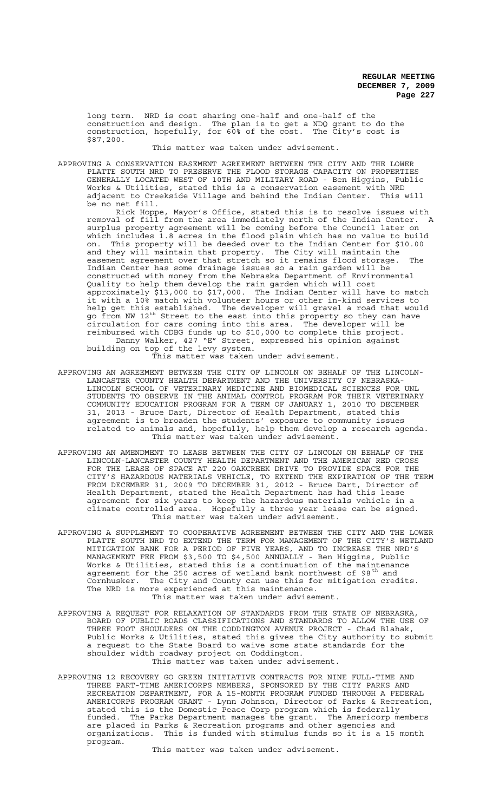long term. NRD is cost sharing one-half and one-half of the construction and design. The plan is to get a NDQ grant to do the construction, hopefully, for 60% of the cost. The City's cost is \$87,200.

This matter was taken under advisement.

APPROVING A CONSERVATION EASEMENT AGREEMENT BETWEEN THE CITY AND THE LOWER PLATTE SOUTH NRD TO PRESERVE THE FLOOD STORAGE CAPACITY ON PROPERTIES GENERALLY LOCATED WEST OF 10TH AND MILITARY ROAD - Ben Higgins, Public Works & Utilities, stated this is a conservation easement with NRD adjacent to Creekside Village and behind the Indian Center. This will be no net fill.

Rick Hoppe, Mayor's Office, stated this is to resolve issues with removal of fill from the area immediately north of the Indian Center. A surplus property agreement will be coming before the Council later on which includes 1.8 acres in the flood plain which has no value to build on. This property will be deeded over to the Indian Center for \$10.00 and they will maintain that property. The City will maintain the easement agreement over that stretch so it remains flood storage. The Indian Center has some drainage issues so a rain garden will be constructed with money from the Nebraska Department of Environmental Quality to help them develop the rain garden which will cost approximately \$13,000 to \$17,000. The Indian Center will have to match it with a 10% match with volunteer hours or other in-kind services to help get this established. The developer will gravel a road that would go from NW 12<sup>th</sup> Street to the east into this property so they can have circulation for cars coming into this area. The developer will be reimbursed with CDBG funds up to \$10,000 to complete this project. Danny Walker, 427 "E" Street, expressed his opinion against building on top of the levy system. This matter was taken under advisement.

- APPROVING AN AGREEMENT BETWEEN THE CITY OF LINCOLN ON BEHALF OF THE LINCOLN-LANCASTER COUNTY HEALTH DEPARTMENT AND THE UNIVERSITY OF NEBRASKA-LINCOLN SCHOOL OF VETERINARY MEDICINE AND BIOMEDICAL SCIENCES FOR UNL STUDENTS TO OBSERVE IN THE ANIMAL CONTROL PROGRAM FOR THEIR VETERINARY COMMUNITY EDUCATION PROGRAM FOR A TERM OF JANUARY 1, 2010 TO DECEMBER 31, 2013 - Bruce Dart, Director of Health Department, stated this agreement is to broaden the students' exposure to community issues related to animals and, hopefully, help them develop a research agenda. This matter was taken under advisement.
- APPROVING AN AMENDMENT TO LEASE BETWEEN THE CITY OF LINCOLN ON BEHALF OF THE LINCOLN-LANCASTER COUNTY HEALTH DEPARTMENT AND THE AMERICAN RED CROSS FOR THE LEASE OF SPACE AT 220 OAKCREEK DRIVE TO PROVIDE SPACE FOR THE CITY'S HAZARDOUS MATERIALS VEHICLE, TO EXTEND THE EXPIRATION OF THE TERM FROM DECEMBER 31, 2009 TO DECEMBER 31, 2012 - Bruce Dart, Director of Health Department, stated the Health Department has had this lease agreement for six years to keep the hazardous materials vehicle in a climate controlled area. Hopefully a three year lease can be signed. This matter was taken under advisement.
- APPROVING A SUPPLEMENT TO COOPERATIVE AGREEMENT BETWEEN THE CITY AND THE LOWER PLATTE SOUTH NRD TO EXTEND THE TERM FOR MANAGEMENT OF THE CITY'S WETLAND MITIGATION BANK FOR A PERIOD OF FIVE YEARS, AND TO INCREASE THE NRD'S MANAGEMENT FEE FROM \$3,500 TO \$4,500 ANNUALLY - Ben Higgins, Public Works & Utilities, stated this is a continuation of the maintenance agreement for the 250 acres of wetland bank northwest of 98 $^{\text{th}}$  and Cornhusker. The City and County can use this for mitigation credits. The NRD is more experienced at this maintenance. This matter was taken under advisement.
- APPROVING A REQUEST FOR RELAXATION OF STANDARDS FROM THE STATE OF NEBRASKA, BOARD OF PUBLIC ROADS CLASSIFICATIONS AND STANDARDS TO ALLOW THE USE OF THREE FOOT SHOULDERS ON THE CODDINGTON AVENUE PROJECT - Chad Blahak, Public Works & Utilities, stated this gives the City authority to submit a request to the State Board to waive some state standards for the shoulder width roadway project on Coddington. This matter was taken under advisement.
- APPROVING 12 RECOVERY GO GREEN INITIATIVE CONTRACTS FOR NINE FULL-TIME AND THREE PART-TIME AMERICORPS MEMBERS, SPONSORED BY THE CITY PARKS AND RECREATION DEPARTMENT, FOR A 15-MONTH PROGRAM FUNDED THROUGH A FEDERAL AMERICORPS PROGRAM GRANT - Lynn Johnson, Director of Parks & Recreation, stated this is the Domestic Peace Corp program which is federally funded. The Parks Department manages the grant. The Americorp members are placed in Parks & Recreation programs and other agencies and organizations. This is funded with stimulus funds so it is a 15 month program.

This matter was taken under advisement.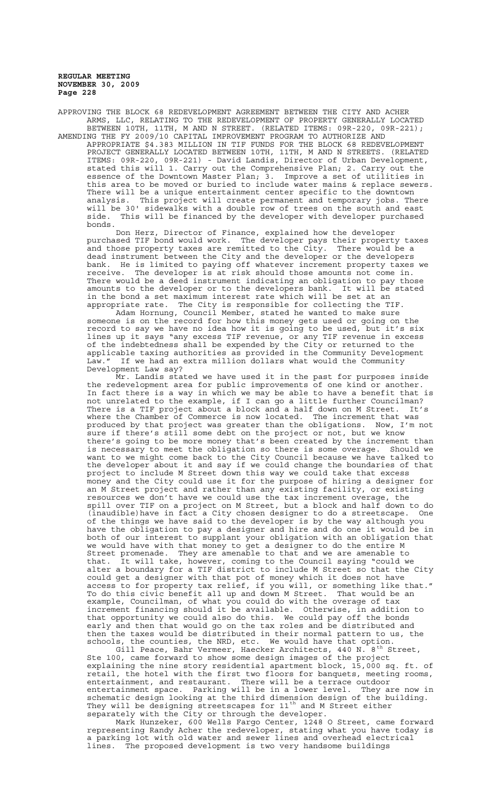APPROVING THE BLOCK 68 REDEVELOPMENT AGREEMENT BETWEEN THE CITY AND ACHER ARMS, LLC, RELATING TO THE REDEVELOPMENT OF PROPERTY GENERALLY LOCATED BETWEEN 10TH, 11TH, M AND N STREET. (RELATED ITEMS: 09R-220, 09R-221); AMENDING THE FY 2009/10 CAPITAL IMPROVEMENT PROGRAM TO AUTHORIZE AND

APPROPRIATE \$4.383 MILLION IN TIF FUNDS FOR THE BLOCK 68 REDEVELOPMENT PROJECT GENERALLY LOCATED BETWEEN 10TH, 11TH, M AND N STREETS. (RELATED ITEMS: 09R-220, 09R-221) - David Landis, Director of Urban Development, stated this will 1. Carry out the Comprehensive Plan; 2. Carry out the essence of the Downtown Master Plan; 3. Improve a set of utilities in this area to be moved or buried to include water mains & replace sewers. There will be a unique entertainment center specific to the downtown analysis. This project will create permanent and temporary jobs. There will be 30' sidewalks with a double row of trees on the south and east side. This will be financed by the developer with developer purchased bonds.

Don Herz, Director of Finance, explained how the developer purchased TIF bond would work. The developer pays their property taxes and those property taxes are remitted to the City. There would be a dead instrument between the City and the developer or the developers bank. He is limited to paying off whatever increment property taxes we receive. The developer is at risk should those amounts not come in. There would be a deed instrument indicating an obligation to pay those amounts to the developer or to the developers bank. It will be stated in the bond a set maximum interest rate which will be set at an appropriate rate. The City is responsible for collecting the TIF.

Adam Hornung, Council Member, stated he wanted to make sure someone is on the record for how this money gets used or going on the record to say we have no idea how it is going to be used, but it's six lines up it says "any excess TIF revenue, or any TIF revenue in excess of the indebtedness shall be expended by the City or returned to the applicable taxing authorities as provided in the Community Development Law." If we had an extra million dollars what would the Community Law." If we had an<br>Development Law say?

Mr. Landis stated we have used it in the past for purposes inside the redevelopment area for public improvements of one kind or another. In fact there is a way in which we may be able to have a benefit that is not unrelated to the example, if I can go a little further Councilman? There is a TIF project about a block and a half down on M Street. It's where the Chamber of Commerce is now located. The increment that was produced by that project was greater than the obligations. Now, I'm not sure if there's still some debt on the project or not, but we know there's going to be more money that's been created by the increment than is necessary to meet the obligation so there is some overage. Should we want to we might come back to the City Council because we have talked to<br>want to we might come back to the City Council because we have talked to the developer about it and say if we could change the boundaries of that project to include M Street down this way we could take that excess money and the City could use it for the purpose of hiring a designer for an M Street project and rather than any existing facility, or existing resources we don't have we could use the tax increment overage, the spill over TIF on a project on M Street, but a block and half down to do (inaudible)have in fact a City chosen designer to do a streetscape. One of the things we have said to the developer is by the way although you have the obligation to pay a designer and hire and do one it would be in both of our interest to supplant your obligation with an obligation that we would have with that money to get a designer to do the entire M Street promenade. They are amenable to that and we are amenable to that. It will take, however, coming to the Council saying "could we alter a boundary for a TIF district to include M Street so that the City could get a designer with that pot of money which it does not have access to for property tax relief, if you will, or something like that." To do this civic benefit all up and down M Street. That would be an example, Councilman, of what you could do with the overage of tax increment financing should it be available. Otherwise, in addition to that opportunity we could also do this. We could pay off the bonds early and then that would go on the tax roles and be distributed and then the taxes would be distributed in their normal pattern to us, the schools, the counties, the NRD, etc. We would have that option.

Gill Peace, Bahr Vermeer, Haecker Architects, 440 N. 8<sup>th</sup> Street, Ste 100, came forward to show some design images of the project explaining the nine story residential apartment block, 15,000 sq. ft. of retail, the hotel with the first two floors for banquets, meeting rooms, entertainment, and restaurant. There will be a terrace outdoor<br>entertainment space. Parking will be in a lower level. They a entertainment space. Parking will be in a lower level. They are now in schematic design looking at the third dimension design of the building. They will be designing streetscapes for 11<sup>th</sup> and M Street either separately with the City or through the developer.

Mark Hunzeker, 600 Wells Fargo Center, 1248 O Street, came forward representing Randy Acher the redeveloper, stating what you have today is a parking lot with old water and sewer lines and overhead electrical lines. The proposed development is two very handsome buildings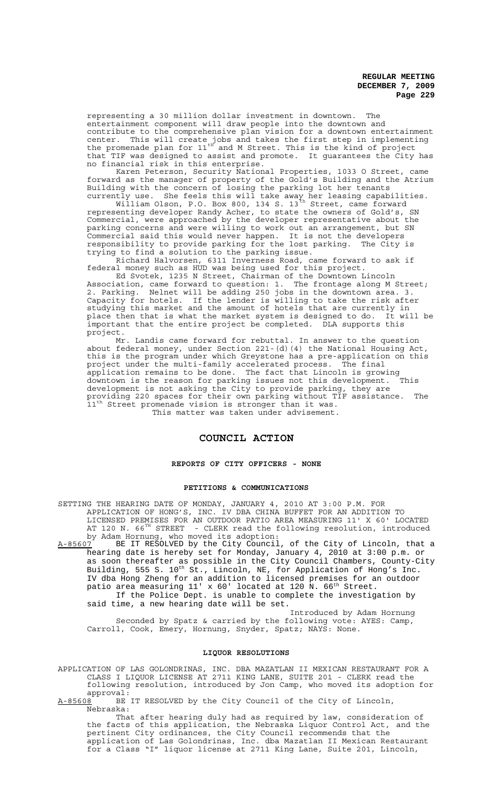representing a 30 million dollar investment in downtown. The entertainment component will draw people into the downtown and contribute to the comprehensive plan vision for a downtown entertainment center. This will create jobs and takes the first step in implementing the promenade plan for 11<sup>th</sup> and M Street. This is the kind of project that TIF was designed to assist and promote. It guarantees the City has no financial risk in this enterprise.

Karen Peterson, Security National Properties, 1033 O Street, came forward as the manager of property of the Gold's Building and the Atrium Building with the concern of losing the parking lot her tenants currently use. She feels this will take away her leasing capabilities.

William Olson, P.O. Box 800, 134 S. 13 $^{\rm th}$  Street, came forward representing developer Randy Acher, to state the owners of Gold's, SN Commercial, were approached by the developer representative about the parking concerns and were willing to work out an arrangement, but SN Commercial said this would never happen. It is not the developers responsibility to provide parking for the lost parking. The City is trying to find a solution to the parking issue.

Richard Halvorsen, 6311 Inverness Road, came forward to ask if federal money such as HUD was being used for this project.

Ed Svotek, 1235 N Street, Chairman of the Downtown Lincoln Association, came forward to question: 1. The frontage along M Street; 2. Parking. Nelnet will be adding 250 jobs in the downtown area. 3. Capacity for hotels. If the lender is willing to take the risk after studying this market and the amount of hotels that are currently in place then that is what the market system is designed to do. It will be important that the entire project be completed. DLA supports this important that the entire project be completed. project.

Mr. Landis came forward for rebuttal. In answer to the question about federal money, under Section 221-(d)(4) the National Housing Act, this is the program under which Greystone has a pre-application on this project under the multi-family accelerated process. The final application remains to be done. The fact that Lincoln is growing<br>downtown is the reason for parking issues not this development. This downtown is the reason for parking issues not this development. This development is not asking the City to provide parking, they are providing 220 spaces for their own parking without TIF assistance. The 11<sup>th</sup> Street promenade vision is stronger than it was. This matter was taken under advisement.

# **COUNCIL ACTION**

### **REPORTS OF CITY OFFICERS - NONE**

## **PETITIONS & COMMUNICATIONS**

SETTING THE HEARING DATE OF MONDAY, JANUARY 4, 2010 AT 3:00 P.M. FOR APPLICATION OF HONG'S, INC. IV DBA CHINA BUFFET FOR AN ADDITION TO LICENSED PREMISES FOR AN OUTDOOR PATIO AREA MEASURING 11' X 60' LOCATED AT 120 N. 66<sup>TH</sup> STREET - CLERK read the following resolution, introduced by Adam Hornung, who moved its adoption:

A-85607 BE IT RESOLVED by the City Council, of the City of Lincoln, that a hearing date is hereby set for Monday, January 4, 2010 at 3:00 p.m. or as soon thereafter as possible in the City Council Chambers, County-City Building, 555 S. 10<sup>th</sup> St., Lincoln, NE, for Application of Hong's Inc. IV dba Hong Zheng for an addition to licensed premises for an outdoor patio area measuring 11' x 60' located at 120 N. 66<sup>th</sup> Street. If the Police Dept. is unable to complete the investigation by said time, a new hearing date will be set.

Introduced by Adam Hornung Seconded by Spatz & carried by the following vote: AYES: Camp, Carroll, Cook, Emery, Hornung, Snyder, Spatz; NAYS: None.

#### **LIQUOR RESOLUTIONS**

APPLICATION OF LAS GOLONDRINAS, INC. DBA MAZATLAN II MEXICAN RESTAURANT FOR A CLASS I LIQUOR LICENSE AT 2711 KING LANE, SUITE 201 - CLERK read the following resolution, introduced by Jon Camp, who moved its adoption for approval:<br>A-85608 BE

BE IT RESOLVED by the City Council of the City of Lincoln, Nebraska:

That after hearing duly had as required by law, consideration of the facts of this application, the Nebraska Liquor Control Act, and the pertinent City ordinances, the City Council recommends that the application of Las Golondrinas, Inc. dba Mazatlan II Mexican Restaurant for a Class "I" liquor license at 2711 King Lane, Suite 201, Lincoln,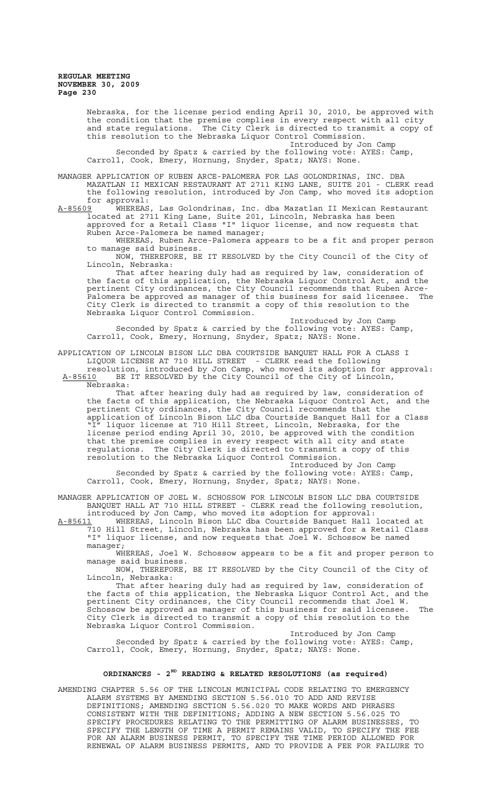> Nebraska, for the license period ending April 30, 2010, be approved with the condition that the premise complies in every respect with all city and state regulations. The City Clerk is directed to transmit a copy of this resolution to the Nebraska Liquor Control Commission.

> > Introduced by Jon Camp

Seconded by Spatz & carried by the following vote: AYES: Camp, Carroll, Cook, Emery, Hornung, Snyder, Spatz; NAYS: None.

MANAGER APPLICATION OF RUBEN ARCE-PALOMERA FOR LAS GOLONDRINAS, INC. DBA MAZATLAN II MEXICAN RESTAURANT AT 2711 KING LANE, SUITE 201 - CLERK read the following resolution, introduced by Jon Camp, who moved its adoption for approval:<br>A-85609 WHEREAS

A-85609 WHEREAS, Las Golondrinas, Inc. dba Mazatlan II Mexican Restaurant located at 2711 King Lane, Suite 201, Lincoln, Nebraska has been approved for a Retail Class "I" liquor license, and now requests that Ruben Arce-Palomera be named manager;

WHEREAS, Ruben Arce-Palomera appears to be a fit and proper person to manage said business.

NOW, THEREFORE, BE IT RESOLVED by the City Council of the City of Lincoln, Nebraska:

That after hearing duly had as required by law, consideration of the facts of this application, the Nebraska Liquor Control Act, and the pertinent City ordinances, the City Council recommends that Ruben Arce-Palomera be approved as manager of this business for said licensee. The City Clerk is directed to transmit a copy of this resolution to the Nebraska Liquor Control Commission.

Introduced by Jon Camp Seconded by Spatz & carried by the following vote: AYES: Camp, Carroll, Cook, Emery, Hornung, Snyder, Spatz; NAYS: None.

APPLICATION OF LINCOLN BISON LLC DBA COURTSIDE BANQUET HALL FOR A CLASS I LIQUOR LICENSE AT 710 HILL STREET - CLERK read the following

resolution, introduced by Jon Camp, who moved its adoption for approval: A-85610 BE IT RESOLVED by the City Council of the City of Lincoln, Nebraska:

That after hearing duly had as required by law, consideration of the facts of this application, the Nebraska Liquor Control Act, and the pertinent City ordinances, the City Council recommends that the application of Lincoln Bison LLC dba Courtside Banquet Hall for a Class "I" liquor license at 710 Hill Street, Lincoln, Nebraska, for the license period ending April 30, 2010, be approved with the condition that the premise complies in every respect with all city and state regulations. The City Clerk is directed to transmit a copy of this resolution to the Nebraska Liquor Control Commission. Introduced by Jon Camp

Seconded by Spatz & carried by the following vote: AYES: Camp, Carroll, Cook, Emery, Hornung, Snyder, Spatz; NAYS: None.

MANAGER APPLICATION OF JOEL W. SCHOSSOW FOR LINCOLN BISON LLC DBA COURTSIDE BANQUET HALL AT 710 HILL STREET - CLERK read the following resolution, introduced by Jon Camp, who moved its adoption for approval:

A-85611 WHEREAS, Lincoln Bison LLC dba Courtside Banquet Hall located at A-85611 WHEREAS, Lincoln Bison LLC dba Courtside Banquet Hall located at<br>710 Hill Street, Lincoln, Nebraska has been approved for a Retail Class "I" liquor license, and now requests that Joel W. Schossow be named manager;

WHEREAS, Joel W. Schossow appears to be a fit and proper person to manage said business.

NOW, THEREFORE, BE IT RESOLVED by the City Council of the City of Lincoln, Nebraska:

That after hearing duly had as required by law, consideration of the facts of this application, the Nebraska Liquor Control Act, and the pertinent City ordinances, the City Council recommends that Joel W. Schossow be approved as manager of this business for said licensee. The City Clerk is directed to transmit a copy of this resolution to the Nebraska Liquor Control Commission.

Introduced by Jon Camp Seconded by Spatz & carried by the following vote: AYES: Camp, Carroll, Cook, Emery, Hornung, Snyder, Spatz; NAYS: None.

## **ORDINANCES - 2ND READING & RELATED RESOLUTIONS (as required)**

AMENDING CHAPTER 5.56 OF THE LINCOLN MUNICIPAL CODE RELATING TO EMERGENCY ALARM SYSTEMS BY AMENDING SECTION 5.56.010 TO ADD AND REVISE DEFINITIONS; AMENDING SECTION 5.56.020 TO MAKE WORDS AND PHRASES CONSISTENT WITH THE DEFINITIONS; ADDING A NEW SECTION 5.56.025 TO SPECIFY PROCEDURES RELATING TO THE PERMITTING OF ALARM BUSINESSES, TO SPECIFY THE LENGTH OF TIME A PERMIT REMAINS VALID, TO SPECIFY THE FEE FOR AN ALARM BUSINESS PERMIT, TO SPECIFY THE TIME PERIOD ALLOWED FOR RENEWAL OF ALARM BUSINESS PERMITS, AND TO PROVIDE A FEE FOR FAILURE TO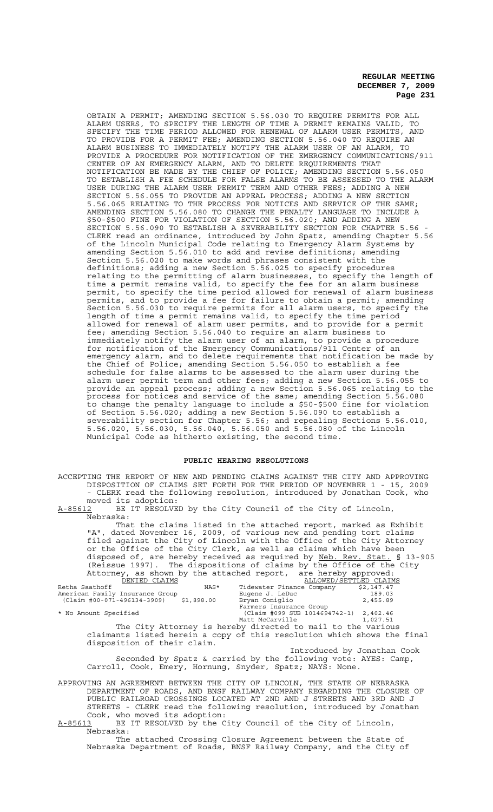OBTAIN A PERMIT; AMENDING SECTION 5.56.030 TO REQUIRE PERMITS FOR ALL ALARM USERS, TO SPECIFY THE LENGTH OF TIME A PERMIT REMAINS VALID, TO SPECIFY THE TIME PERIOD ALLOWED FOR RENEWAL OF ALARM USER PERMITS, AND TO PROVIDE FOR A PERMIT FEE; AMENDING SECTION 5.56.040 TO REQUIRE AN ALARM BUSINESS TO IMMEDIATELY NOTIFY THE ALARM USER OF AN ALARM, TO PROVIDE A PROCEDURE FOR NOTIFICATION OF THE EMERGENCY COMMUNICATIONS/911 CENTER OF AN EMERGENCY ALARM, AND TO DELETE REQUIREMENTS THAT NOTIFICATION BE MADE BY THE CHIEF OF POLICE; AMENDING SECTION 5.56.050 TO ESTABLISH A FEE SCHEDULE FOR FALSE ALARMS TO BE ASSESSED TO THE ALARM USER DURING THE ALARM USER PERMIT TERM AND OTHER FEES; ADDING A NEW SECTION 5.56.055 TO PROVIDE AN APPEAL PROCESS; ADDING A NEW SECTION 5.56.065 RELATING TO THE PROCESS FOR NOTICES AND SERVICE OF THE SAME; AMENDING SECTION 5.56.080 TO CHANGE THE PENALTY LANGUAGE TO INCLUDE A \$50-\$500 FINE FOR VIOLATION OF SECTION 5.56.020; AND ADDING A NEW SECTION 5.56.090 TO ESTABLISH A SEVERABILITY SECTION FOR CHAPTER 5.56 CLERK read an ordinance, introduced by John Spatz, amending Chapter 5.56 of the Lincoln Municipal Code relating to Emergency Alarm Systems by amending Section 5.56.010 to add and revise definitions; amending Section 5.56.020 to make words and phrases consistent with the definitions; adding a new Section 5.56.025 to specify procedures relating to the permitting of alarm businesses, to specify the length of time a permit remains valid, to specify the fee for an alarm business permit, to specify the time period allowed for renewal of alarm business permits, and to provide a fee for failure to obtain a permit; amending Section 5.56.030 to require permits for all alarm users, to specify the length of time a permit remains valid, to specify the time period allowed for renewal of alarm user permits, and to provide for a permit fee; amending Section 5.56.040 to require an alarm business to immediately notify the alarm user of an alarm, to provide a procedure for notification of the Emergency Communications/911 Center of an emergency alarm, and to delete requirements that notification be made by the Chief of Police; amending Section 5.56.050 to establish a fee schedule for false alarms to be assessed to the alarm user during the alarm user permit term and other fees; adding a new Section 5.56.055 to provide an appeal process; adding a new Section 5.56.065 relating to the process for notices and service of the same; amending Section 5.56.080 to change the penalty language to include a \$50-\$500 fine for violation of Section 5.56.020; adding a new Section 5.56.090 to establish a severability section for Chapter 5.56; and repealing Sections 5.56.010, 5.56.020, 5.56.030, 5.56.040, 5.56.050 and 5.56.080 of the Lincoln Municipal Code as hitherto existing, the second time.

#### **PUBLIC HEARING RESOLUTIONS**

ACCEPTING THE REPORT OF NEW AND PENDING CLAIMS AGAINST THE CITY AND APPROVING DISPOSITION OF CLAIMS SET FORTH FOR THE PERIOD OF NOVEMBER 1 - 15, 2009 - CLERK read the following resolution, introduced by Jonathan Cook, who moved its adoption:<br>A-85612 BE IT RESOLVE

BE IT RESOLVED by the City Council of the City of Lincoln, Nebraska:

That the claims listed in the attached report, marked as Exhibit "A", dated November 16, 2009, of various new and pending tort claims filed against the City of Lincoln with the Office of the City Attorney or the Office of the City Clerk, as well as claims which have been disposed of, are hereby received as required by Neb. Rev. Stat. § 13-905 (Reissue 1997). The dispositions of claims by the Office of the City Attorney, as shown by the attached report, are hereby approved:

| DENIED CLAIMS                             | ALLOWED/SETTLED CLAIMS        |            |
|-------------------------------------------|-------------------------------|------------|
| Retha Saathoff<br>NAS*                    | Tidewater Finance Company     | \$2,147.47 |
| American Family Insurance Group           | Eugene J. LeDuc               | 189.03     |
| (Claim #00-071-496134-3909)<br>\$1,898.00 | Bryan Coniglio                | 2,455.89   |
|                                           | Farmers Insurance Group       |            |
| * No Amount Specified                     | (Claim #099 SUB 1014694742-1) | 2,402.46   |
|                                           | Matt McCarville               | 1,027.51   |
|                                           |                               |            |

The City Attorney is hereby directed to mail to the various claimants listed herein a copy of this resolution which shows the final disposition of their claim.

Introduced by Jonathan Cook Seconded by Spatz & carried by the following vote: AYES: Camp, Carroll, Cook, Emery, Hornung, Snyder, Spatz; NAYS: None.

APPROVING AN AGREEMENT BETWEEN THE CITY OF LINCOLN, THE STATE OF NEBRASKA DEPARTMENT OF ROADS, AND BNSF RAILWAY COMPANY REGARDING THE CLOSURE OF PUBLIC RAILROAD CROSSINGS LOCATED AT 2ND AND J STREETS AND 3RD AND J STREETS - CLERK read the following resolution, introduced by Jonathan Cook, who moved its adoption:<br>A-85613 BE IT RESOLVED by the C

BE IT RESOLVED by the City Council of the City of Lincoln, Nebraska:

The attached Crossing Closure Agreement between the State of Nebraska Department of Roads, BNSF Railway Company, and the City of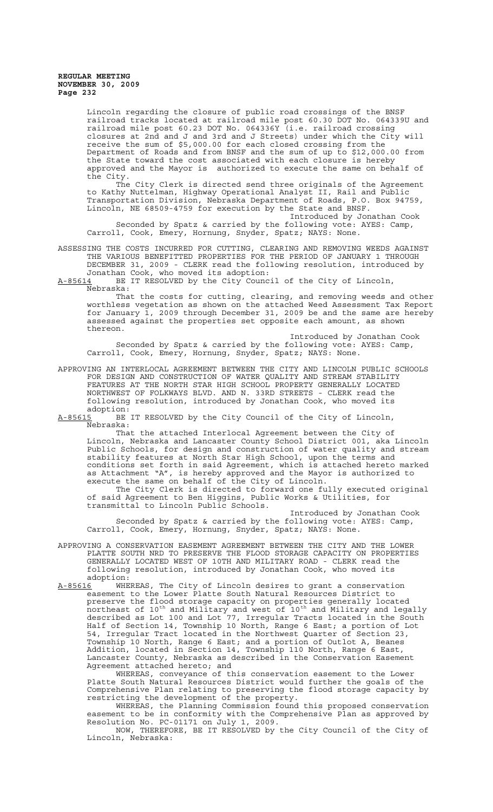Lincoln regarding the closure of public road crossings of the BNSF railroad tracks located at railroad mile post 60.30 DOT No. 064339U and railroad mile post 60.23 DOT No. 064336Y (i.e. railroad crossing closures at 2nd and J and 3rd and J Streets) under which the City will receive the sum of \$5,000.00 for each closed crossing from the Department of Roads and from BNSF and the sum of up to \$12,000.00 from the State toward the cost associated with each closure is hereby approved and the Mayor is authorized to execute the same on behalf of the City.

The City Clerk is directed send three originals of the Agreement to Kathy Nuttelman, Highway Operational Analyst II, Rail and Public Transportation Division, Nebraska Department of Roads, P.O. Box 94759, Lincoln, NE 68509-4759 for execution by the State and BNSF.

Introduced by Jonathan Cook Seconded by Spatz & carried by the following vote: AYES: Camp, Carroll, Cook, Emery, Hornung, Snyder, Spatz; NAYS: None.

ASSESSING THE COSTS INCURRED FOR CUTTING, CLEARING AND REMOVING WEEDS AGAINST THE VARIOUS BENEFITTED PROPERTIES FOR THE PERIOD OF JANUARY 1 THROUGH DECEMBER 31, 2009 - CLERK read the following resolution, introduced by Jonathan Cook, who moved its adoption:

A-85614 BE IT RESOLVED by the City Council of the City of Lincoln, Nebraska:

That the costs for cutting, clearing, and removing weeds and other worthless vegetation as shown on the attached Weed Assessment Tax Report for January 1, 2009 through December 31, 2009 be and the same are hereby assessed against the properties set opposite each amount, as shown thereon.

Introduced by Jonathan Cook Seconded by Spatz & carried by the following vote: AYES: Camp, Carroll, Cook, Emery, Hornung, Snyder, Spatz; NAYS: None.

APPROVING AN INTERLOCAL AGREEMENT BETWEEN THE CITY AND LINCOLN PUBLIC SCHOOLS FOR DESIGN AND CONSTRUCTION OF WATER QUALITY AND STREAM STABILITY FEATURES AT THE NORTH STAR HIGH SCHOOL PROPERTY GENERALLY LOCATED NORTHWEST OF FOLKWAYS BLVD. AND N. 33RD STREETS - CLERK read the following resolution, introduced by Jonathan Cook, who moved its adoption:<br>A-85615 BE

BE IT RESOLVED by the City Council of the City of Lincoln, Nebraska:

That the attached Interlocal Agreement between the City of Lincoln, Nebraska and Lancaster County School District 001, aka Lincoln Public Schools, for design and construction of water quality and stream stability features at North Star High School, upon the terms and conditions set forth in said Agreement, which is attached hereto marked as Attachment "A", is hereby approved and the Mayor is authorized to execute the same on behalf of the City of Lincoln.

The City Clerk is directed to forward one fully executed original of said Agreement to Ben Higgins, Public Works & Utilities, for transmittal to Lincoln Public Schools.

Introduced by Jonathan Cook Seconded by Spatz & carried by the following vote: AYES: Camp, Carroll, Cook, Emery, Hornung, Snyder, Spatz; NAYS: None.

APPROVING A CONSERVATION EASEMENT AGREEMENT BETWEEN THE CITY AND THE LOWER PLATTE SOUTH NRD TO PRESERVE THE FLOOD STORAGE CAPACITY ON PROPERTIES GENERALLY LOCATED WEST OF 10TH AND MILITARY ROAD - CLERK read the following resolution, introduced by Jonathan Cook, who moved its :adoption<br><u>A-85616</u> MHE

A-85616 WHEREAS, The City of Lincoln desires to grant a conservation easement to the Lower Platte South Natural Resources District to preserve the flood storage capacity on properties generally located  $_{\rm{northeast}}$  of 10<sup>th</sup> and Military and west of 10<sup>th</sup> and Military and legally described as Lot 100 and Lot 77, Irregular Tracts located in the South Half of Section 14, Township 10 North, Range 6 East; a portion of Lot 54, Irregular Tract located in the Northwest Quarter of Section 23, Township 10 North, Range 6 East; and a portion of Outlot A, Beanes Addition, located in Section 14, Township 110 North, Range 6 East, Lancaster County, Nebraska as described in the Conservation Easement Agreement attached hereto; and

WHEREAS, conveyance of this conservation easement to the Lower Platte South Natural Resources District would further the goals of the Comprehensive Plan relating to preserving the flood storage capacity by restricting the development of the property.

WHEREAS, the Planning Commission found this proposed conservation easement to be in conformity with the Comprehensive Plan as approved by Resolution No. PC-01171 on July 1, 2009.

NOW, THEREFORE, BE IT RESOLVED by the City Council of the City of Lincoln, Nebraska: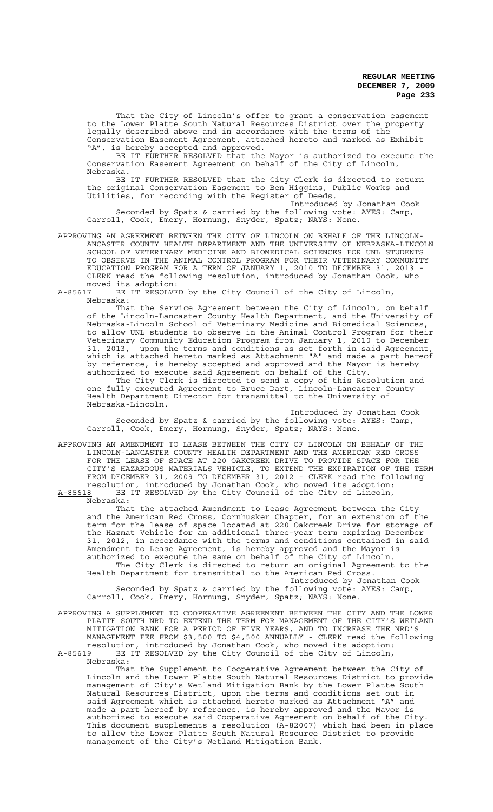That the City of Lincoln's offer to grant a conservation easement to the Lower Platte South Natural Resources District over the property legally described above and in accordance with the terms of the Conservation Easement Agreement, attached hereto and marked as Exhibit "A", is hereby accepted and approved.

BE IT FURTHER RESOLVED that the Mayor is authorized to execute the Conservation Easement Agreement on behalf of the City of Lincoln, Nebraska.

BE IT FURTHER RESOLVED that the City Clerk is directed to return the original Conservation Easement to Ben Higgins, Public Works and Utilities, for recording with the Register of Deeds.

Introduced by Jonathan Cook Seconded by Spatz & carried by the following vote: AYES: Camp, Carroll, Cook, Emery, Hornung, Snyder, Spatz; NAYS: None.

APPROVING AN AGREEMENT BETWEEN THE CITY OF LINCOLN ON BEHALF OF THE LINCOLN-ANCASTER COUNTY HEALTH DEPARTMENT AND THE UNIVERSITY OF NEBRASKA-LINCOLN SCHOOL OF VETERINARY MEDICINE AND BIOMEDICAL SCIENCES FOR UNL STUDENTS TO OBSERVE IN THE ANIMAL CONTROL PROGRAM FOR THEIR VETERINARY COMMUNITY EDUCATION PROGRAM FOR A TERM OF JANUARY 1, 2010 TO DECEMBER 31, 2013 CLERK read the following resolution, introduced by Jonathan Cook, who moved its adoption:<br>A-85617 BE IT RESOLVE

BE IT RESOLVED by the City Council of the City of Lincoln, Nebraska:

That the Service Agreement between the City of Lincoln, on behalf of the Lincoln-Lancaster County Health Department, and the University of Nebraska-Lincoln School of Veterinary Medicine and Biomedical Sciences, to allow UNL students to observe in the Animal Control Program for their Veterinary Community Education Program from January 1, 2010 to December 31, 2013, upon the terms and conditions as set forth in said Agreement, which is attached hereto marked as Attachment "A" and made a part hereof by reference, is hereby accepted and approved and the Mayor is hereby authorized to execute said Agreement on behalf of the City.

The City Clerk is directed to send a copy of this Resolution and one fully executed Agreement to Bruce Dart, Lincoln-Lancaster County Health Department Director for transmittal to the University of Nebraska-Lincoln.

Introduced by Jonathan Cook Seconded by Spatz & carried by the following vote: AYES: Camp, Carroll, Cook, Emery, Hornung, Snyder, Spatz; NAYS: None.

APPROVING AN AMENDMENT TO LEASE BETWEEN THE CITY OF LINCOLN ON BEHALF OF THE LINCOLN-LANCASTER COUNTY HEALTH DEPARTMENT AND THE AMERICAN RED CROSS FOR THE LEASE OF SPACE AT 220 OAKCREEK DRIVE TO PROVIDE SPACE FOR THE CITY'S HAZARDOUS MATERIALS VEHICLE, TO EXTEND THE EXPIRATION OF THE TERM FROM DECEMBER 31, 2009 TO DECEMBER 31, 2012 - CLERK read the following resolution, introduced by Jonathan Cook, who moved its adoption:<br>A-85618 BE IT RESOLVED by the City Council of the City of Lincoln, BE IT RESOLVED by the City Council of the City of Lincoln,

Nebraska:

That the attached Amendment to Lease Agreement between the City and the American Red Cross, Cornhusker Chapter, for an extension of the term for the lease of space located at 220 Oakcreek Drive for storage of the Hazmat Vehicle for an additional three-year term expiring December 31, 2012, in accordance with the terms and conditions contained in said Amendment to Lease Agreement, is hereby approved and the Mayor is authorized to execute the same on behalf of the City of Lincoln. The City Clerk is directed to return an original Agreement to the

Health Department for transmittal to the American Red Cross. Introduced by Jonathan Cook Seconded by Spatz & carried by the following vote: AYES: Camp, Carroll, Cook, Emery, Hornung, Snyder, Spatz; NAYS: None.

APPROVING A SUPPLEMENT TO COOPERATIVE AGREEMENT BETWEEN THE CITY AND THE LOWER PLATTE SOUTH NRD TO EXTEND THE TERM FOR MANAGEMENT OF THE CITY'S WETLAND MITIGATION BANK FOR A PERIOD OF FIVE YEARS, AND TO INCREASE THE NRD'S MANAGEMENT FEE FROM \$3,500 TO \$4,500 ANNUALLY - CLERK read the following resolution, introduced by Jonathan Cook, who moved its adoption: A-85619 BE IT RESOLVED by the City Council of the City of Lincoln,  $A-85619$  BE<br>Nebraska:

That the Supplement to Cooperative Agreement between the City of Lincoln and the Lower Platte South Natural Resources District to provide management of City's Wetland Mitigation Bank by the Lower Platte South Natural Resources District, upon the terms and conditions set out in said Agreement which is attached hereto marked as Attachment "A" and made a part hereof by reference, is hereby approved and the Mayor is authorized to execute said Cooperative Agreement on behalf of the City. This document supplements a resolution (A-82007) which had been in place to allow the Lower Platte South Natural Resource District to provide management of the City's Wetland Mitigation Bank.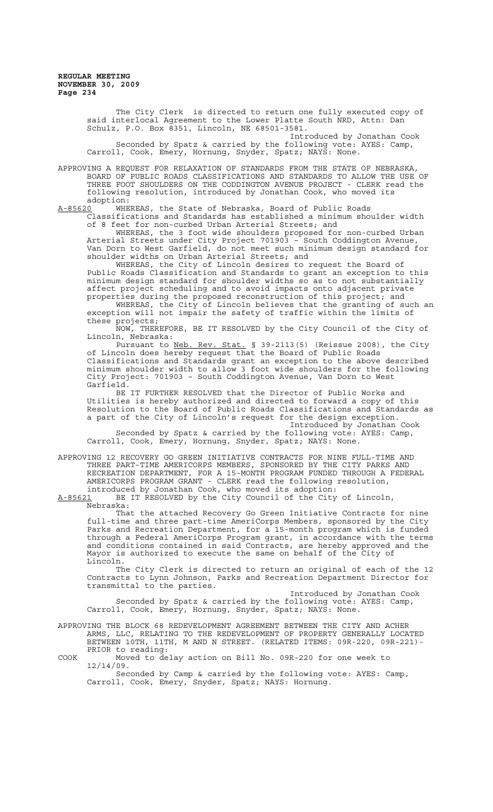The City Clerk is directed to return one fully executed copy of said interlocal Agreement to the Lower Platte South NRD, Attn: Dan Schulz, P.O. Box 8351, Lincoln, NE 68501-3581. Introduced by Jonathan Cook Seconded by Spatz & carried by the following vote: AYES: Camp,

Carroll, Cook, Emery, Hornung, Snyder, Spatz; NAYS: None.

APPROVING A REQUEST FOR RELAXATION OF STANDARDS FROM THE STATE OF NEBRASKA, BOARD OF PUBLIC ROADS CLASSIFICATIONS AND STANDARDS TO ALLOW THE USE OF THREE FOOT SHOULDERS ON THE CODDINGTON AVENUE PROJECT - CLERK read the following resolution, introduced by Jonathan Cook, who moved its adoption:<br><u>A-85620</u> WHE

WHEREAS, the State of Nebraska, Board of Public Roads Classifications and Standards has established a minimum shoulder width of 8 feet for non-curbed Urban Arterial Streets; and

WHEREAS, the 3 foot wide shoulders proposed for non-curbed Urban Arterial Streets under City Project 701903 – South Coddington Avenue, Van Dorn to West Garfield, do not meet such minimum design standard for shoulder widths on Urban Arterial Streets; and

WHEREAS, the City of Lincoln desires to request the Board of Public Roads Classification and Standards to grant an exception to this minimum design standard for shoulder widths so as to not substantially affect project scheduling and to avoid impacts onto adjacent private properties during the proposed reconstruction of this project; and WHEREAS, the City of Lincoln believes that the granting of such an

exception will not impair the safety of traffic within the limits of these projects;

NOW, THEREFORE, BE IT RESOLVED by the City Council of the City of Lincoln, Nebraska:

Pursuant to Neb. Rev. Stat. § 39-2113(5) (Reissue 2008), the City of Lincoln does hereby request that the Board of Public Roads Classifications and Standards grant an exception to the above described minimum shoulder width to allow 3 foot wide shoulders for the following City Project: 701903 – South Coddington Avenue, Van Dorn to West Garfield.

BE IT FURTHER RESOLVED that the Director of Public Works and Utilities is hereby authorized and directed to forward a copy of this Resolution to the Board of Public Roads Classifications and Standards as a part of the City of Lincoln's request for the design exception.

Introduced by Jonathan Cook Seconded by Spatz & carried by the following vote: AYES: Camp, Carroll, Cook, Emery, Hornung, Snyder, Spatz; NAYS: None.

APPROVING 12 RECOVERY GO GREEN INITIATIVE CONTRACTS FOR NINE FULL-TIME AND THREE PART-TIME AMERICORPS MEMBERS, SPONSORED BY THE CITY PARKS AND RECREATION DEPARTMENT, FOR A 15-MONTH PROGRAM FUNDED THROUGH A FEDERAL AMERICORPS PROGRAM GRANT - CLERK read the following resolution, introduced by Jonathan Cook, who moved its adoption:

A-85621 BE IT RESOLVED by the City Council of the City of Lincoln, Nebraska:

That the attached Recovery Go Green Initiative Contracts for nine full-time and three part-time AmeriCorps Members, sponsored by the City Parks and Recreation Department, for a 15-month program which is funded through a Federal AmeriCorps Program grant, in accordance with the terms and conditions contained in said Contracts, are hereby approved and the Mayor is authorized to execute the same on behalf of the City of Lincoln.

The City Clerk is directed to return an original of each of the 12 Contracts to Lynn Johnson, Parks and Recreation Department Director for transmittal to the parties.

Introduced by Jonathan Cook Seconded by Spatz & carried by the following vote: AYES: Camp, Carroll, Cook, Emery, Hornung, Snyder, Spatz; NAYS: None.

APPROVING THE BLOCK 68 REDEVELOPMENT AGREEMENT BETWEEN THE CITY AND ACHER ARMS, LLC, RELATING TO THE REDEVELOPMENT OF PROPERTY GENERALLY LOCATED BETWEEN 10TH, 11TH, M AND N STREET. (RELATED ITEMS: 09R-220, 09R-221)- PRIOR to reading:

COOK Moved to delay action on Bill No. 09R-220 for one week to 12/14/09.

Seconded by Camp & carried by the following vote: AYES: Camp, Carroll, Cook, Emery, Snyder, Spatz; NAYS: Hornung.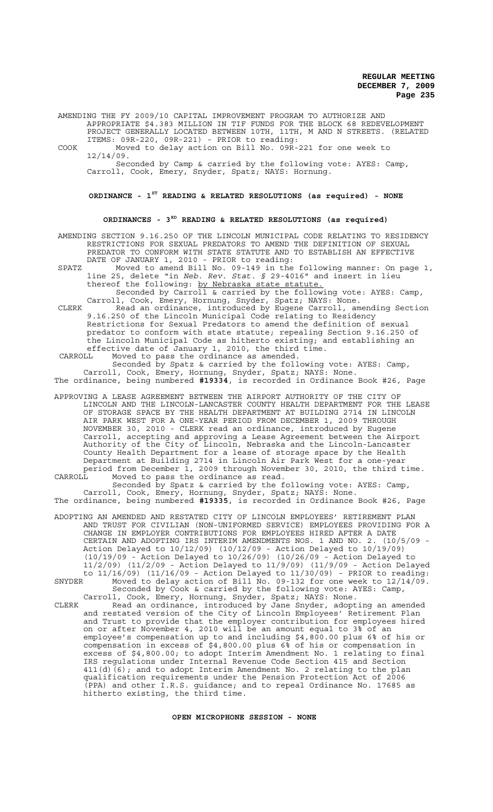AMENDING THE FY 2009/10 CAPITAL IMPROVEMENT PROGRAM TO AUTHORIZE AND APPROPRIATE \$4.383 MILLION IN TIF FUNDS FOR THE BLOCK 68 REDEVELOPMENT PROJECT GENERALLY LOCATED BETWEEN 10TH, 11TH, M AND N STREETS. (RELATED ITEMS: 09R-220, 09R-221) - PRIOR to reading:

COOK Moved to delay action on Bill No. 09R-221 for one week to 12/14/09.

Seconded by Camp & carried by the following vote: AYES: Camp, Carroll, Cook, Emery, Snyder, Spatz; NAYS: Hornung.

**ORDINANCE - 1ST READING & RELATED RESOLUTIONS (as required) - NONE**

### **ORDINANCES - 3RD READING & RELATED RESOLUTIONS (as required)**

AMENDING SECTION 9.16.250 OF THE LINCOLN MUNICIPAL CODE RELATING TO RESIDENCY RESTRICTIONS FOR SEXUAL PREDATORS TO AMEND THE DEFINITION OF SEXUAL PREDATOR TO CONFORM WITH STATE STATUTE AND TO ESTABLISH AN EFFECTIVE DATE OF JANUARY 1, 2010 - PRIOR to reading:

SPATZ Moved to amend Bill No. 09-149 in the following manner: On page 1, line 25, delete "in *Neb. Rev. Stat. §* 29-4016" and insert in lieu thereof the following: by Nebraska state statute.

Seconded by Carroll & carried by the following vote: AYES: Camp, Carroll, Cook, Emery, Hornung, Snyder, Spatz; NAYS: None.

CLERK Read an ordinance, introduced by Eugene Carroll, amending Section 9.16.250 of the Lincoln Municipal Code relating to Residency Restrictions for Sexual Predators to amend the definition of sexual predator to conform with state statute; repealing Section 9.16.250 of the Lincoln Municipal Code as hitherto existing; and establishing an effective date of January 1, 2010, the third time.<br>CARROLL Moved to pass the ordinance as amended.

 CARROLL Moved to pass the ordinance as amended. Seconded by Spatz & carried by the following vote: AYES: Camp,

Carroll, Cook, Emery, Hornung, Snyder, Spatz; NAYS: None. The ordinance, being numbered **#19334**, is recorded in Ordinance Book #26, Page

APPROVING A LEASE AGREEMENT BETWEEN THE AIRPORT AUTHORITY OF THE CITY OF LINCOLN AND THE LINCOLN-LANCASTER COUNTY HEALTH DEPARTMENT FOR THE LEASE OF STORAGE SPACE BY THE HEALTH DEPARTMENT AT BUILDING 2714 IN LINCOLN AIR PARK WEST FOR A ONE-YEAR PERIOD FROM DECEMBER 1, 2009 THROUGH NOVEMBER 30, 2010 - CLERK read an ordinance, introduced by Eugene Carroll, accepting and approving a Lease Agreement between the Airport Authority of the City of Lincoln, Nebraska and the Lincoln-Lancaster County Health Department for a lease of storage space by the Health Department at Building 2714 in Lincoln Air Park West for a one-year period from December 1, 2009 through November 30, 2010, the third time. CARROLL Moved to pass the ordinance as read.

Seconded by Spatz & carried by the following vote: AYES: Camp, Carroll, Cook, Emery, Hornung, Snyder, Spatz; NAYS: None. The ordinance, being numbered **#19335**, is recorded in Ordinance Book #26, Page

ADOPTING AN AMENDED AND RESTATED CITY OF LINCOLN EMPLOYEES' RETIREMENT PLAN AND TRUST FOR CIVILIAN (NON-UNIFORMED SERVICE) EMPLOYEES PROVIDING FOR A CHANGE IN EMPLOYER CONTRIBUTIONS FOR EMPLOYEES HIRED AFTER A DATE CERTAIN AND ADOPTING IRS INTERIM AMENDMENTS NOS. 1 AND NO. 2. (10/5/09 - Action Delayed to 10/12/09) (10/12/09 - Action Delayed to 10/19/09)<br>(10/19/09 - Action Delayed to 10/26/09) (10/26/09 - Action Delayed (10/19/09 - Action Delayed to 10/26/09) (10/26/09 - Action Delayed to 11/2/09) (11/2/09 - Action Delayed to 11/9/09) (11/9/09 - Action Delayed to  $11/16/09$  ( $11/16/09$  - Action Delayed to  $11/30/09$ ) - PRIOR to reading:<br>SNYDER Moved to delay action of Bill No. 09-132 for one week to  $12/14/09$ .

SNYDER Moved to delay action of Bill No. 09-132 for one week to 12/14/09. Seconded by Cook & carried by the following vote: AYES: Camp, Carroll, Cook, Emery, Hornung, Snyder, Spatz; NAYS: None.

CLERK Read an ordinance, introduced by Jane Snyder, adopting an amended and restated version of the City of Lincoln Employees' Retirement Plan and Trust to provide that the employer contribution for employees hired on or after November 4, 2010 will be an amount equal to 3% of an employee's compensation up to and including \$4,800.00 plus 6% of his or compensation in excess of \$4,800.00 plus 6% of his or compensation in excess of \$4,800.00; to adopt Interim Amendment No. 1 relating to final IRS regulations under Internal Revenue Code Section 415 and Section 411(d)(6); and to adopt Interim Amendment No. 2 relating to the plan qualification requirements under the Pension Protection Act of 2006  $\overline{(\texttt{PPA})}$  and other I.R.S. guidance; and to repeal Ordinance No. 17685 as hitherto existing, the third time.

**OPEN MICROPHONE SESSION - NONE**